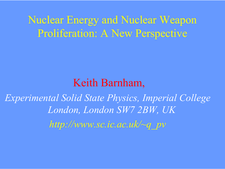## Nuclear Energy and Nuclear Weapon Proliferation: A New Perspective

## Keith Barnham,

*Experimental Solid State Physics, Imperial College London, London SW7 2BW, UK http://www.sc.ic.ac.uk/~q\_pv*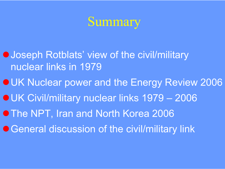

**O Joseph Rotblats' view of the civil/military** nuclear links in 1979

**OUK Nuclear power and the Energy Review 2006 OUK Civil/military nuclear links 1979 – 2006 O The NPT, Iran and North Korea 2006** 

● General discussion of the civil/military link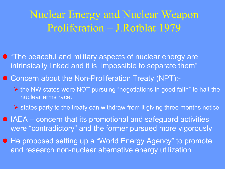## Nuclear Energy and Nuclear Weapon Proliferation – J.Rotblat 1979

- **"The peaceful and military aspects of nuclear energy are** intrinsically linked and it is impossible to separate them"
- Concern about the Non-Proliferation Treaty (NPT):-
	- ¾ the NW states were NOT pursuing "negotiations in good faith" to halt the nuclear arms race.
	- $\triangleright$  states party to the treaty can withdraw from it giving three months notice
- $\bullet$  IAEA concern that its promotional and safeguard activities were "contradictory" and the former pursued more vigorously
- $\bullet$  He proposed setting up a "World Energy Agency" to promote and research non-nuclear alternative energy utilization.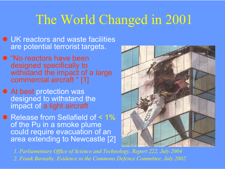# The World Changed in 2001

- **UK reactors and waste facilities** are potential terrorist targets.
- "No reactors have been designed specifically to withstand the impact of a large commercial aircraft " [1]
- At best protection was designed to withstand the impact of a light aircraft
- Release from Sellafield of < 1% of the Pu in a smoke plume could require evacuation of an area extending to Newcastle [2]



*1. Parliamentary Office of Science and Technology, Report 222, July 2004*

*2. Frank Barnaby, Evidence to the Commons Defence Committee, July 2002*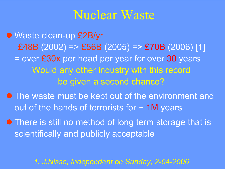## Nuclear Waste

● Waste clean-up £2B/yr £48B (2002) => £56B (2005) => £70B (2006) [1] = over  $\pmb{\mathfrak{g}}$ 30x per head per year for over 30 years Would any other industry with this record be given a second chance?

**• The waste must be kept out of the environment and** out of the hands of terrorists for  $\sim$  1M years

**• There is still no method of long term storage that is** scientifically and publicly acceptable

*1. J.Nisse, Independent on Sunday, 2-04-2006*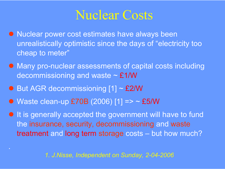## Nuclear Costs

- **Nuclear power cost estimates have always been** unrealistically optimistic since the days of "electricity too cheap to meter"
- Many pro-nuclear assessments of capital costs including decommissioning and waste  $\sim$  £1/W
- $\bullet$  But AGR decommissioning [1] ~ £2/W

.

• Waste clean-up  $£70B$  (2006) [1] => ~ £5/W

**• It is generally accepted the government will have to fund** the insurance, security, decommissioning and waste treatment and long term storage costs – but how much?

*1. J.Nisse, Independent on Sunday, 2-04-2006*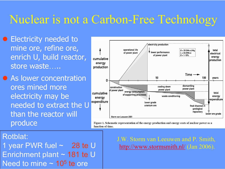## Nuclear is not a Carbon-Free Technology

• Electricity needed to mine ore, refine ore, enrich U, build reactor, store waste…..

• As lower concentration ores mined more electricity may be needed to extract the U<sup>expenditure</sup> than the reactor will produce



Figure 1. Schematic representation of the energy production and energy costs of nuclear power as a function of time.

#### Rotblat:

1 year PWR fuel ~ **28 te** U Enrichment plant ~ 181 te U Need to mine  $\sim$  10<sup>5</sup> te ore

#### J.W. Storm van Leeuwen and P. Smith, http://www.stormsmith.nl/ (Jan 2006).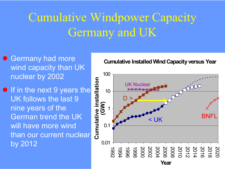# Cumulative Windpower Capacity Germany and UK

- Germany had more wind capacity than UK nuclear by 2002
- **If in the next 9 years the** UK follows the last 9 nine years of the German trend the UK will have more wind than our current nuclear by 2012

**Cumulative Installed Wind Capacity versus Year**

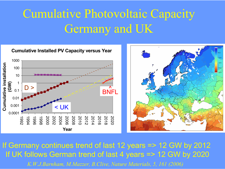# Cumulative Photovoltaic Capacity Germany and UK





If Germany continues trend of last 12 years => 12 GW by 2012 If UK follows German trend of last 4 years => 12 GW by 2020 *K.W.J.Barnham, M.Mazzer, B.Clive, Nature Materials, 5, 161 (2006)*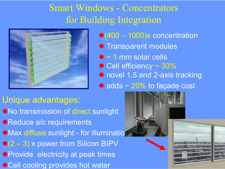## Smart Windows - Concentrators for Building Integration



 $\bullet$ (400 – 1000)x concentration

- **Transparent modules**
- $\bullet$   $\sim$  1 mm solar cells
- Cell efficiency ~ 30%
- novel 1.5 and 2-axis tracking
- $\bullet$  adds  $\sim$  20% to façade cost

#### Unique advantages:

**•No transmission of direct sunlight • Reduce a/c requirements** ●Max diffuse sunlight - for illuminatio  $\bullet$  (2 – 3) x power from Silicon BIPV **• Provide electricity at peak times** ●Cell cooling provides hot water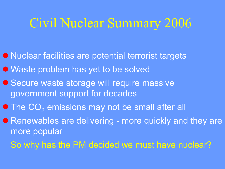# Civil Nuclear Summary 2006

- $\bullet$  Nuclear facilities are potential terrorist targets
- Waste problem has yet to be solved
- Secure waste storage will require massive government support for decades
- $\bullet$  The CO<sub>2</sub> emissions may not be small after all
- Renewables are delivering more quickly and they are more popular
	- So why has the PM decided we must have nuclear?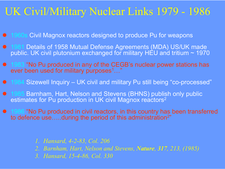## UK Civil/Military Nuclear Links 1979 - 1986

- $\bullet$ 1960s Civil Magnox reactors designed to produce Pu for weapons
- $\bullet$ ● 1981 Details of 1958 Mutual Defense Agreements (MDA) US/UK made public. UK civil plutonium exchanged for military HEU and tritium  $\sim$  1970  $\,$
- 1983 "No Pu produced in any of the CEGB's nuclear power stations has ever been used for military purposes<sup>1</sup>..."
- $\bullet$ 1984 Sizewell Inquiry – UK civil and military Pu still being "co-processed"
- 1985 Barnham, Hart, Nelson and Stevens (BHNS) publish only public estimates for Pu production in UK civil Magnox reactors $^{\mathsf{2}}$
- $\bullet$ • 1986 "No Pu produced in civil reactors, in this country has been transferred to defence use…..during the period of this administration $^{2^m}$

- *1. Hansard, 4-2-83, Col. 206*
- *2. Barnham, Hart, Nelson and Stevens, Nature, 317, 213, (1985)*
- *3. Hansard, 15-4-86, Col. 330*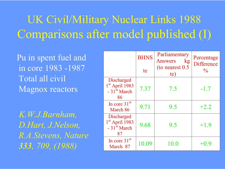## UK Civil/Military Nuclear Links 1988 Comparisons after model published (I)

Pu in spent fuel and in core 1983 -1987 Total all civil Magnox reactors

*K.W.J.Barnham, D.Hart, J.Nelson, R.A.Stevens, Nature 333, 709, (1988)*

|                                                                                    | <b>BHNS</b><br>te | Parliamentary<br>Answers<br>kg<br>(to nearest 0.5) | Percentage<br><b>Difference</b><br>$\frac{0}{0}$ |
|------------------------------------------------------------------------------------|-------------------|----------------------------------------------------|--------------------------------------------------|
|                                                                                    |                   | te)                                                |                                                  |
| Discharged<br>1 <sup>st</sup> April 1983<br>$-31^{5t}$ March<br>86                 | 7.37              | 7.5                                                | $-1.7$                                           |
| In core $31st$<br>March 86                                                         | 9.71              | 9.5                                                | $+2.2$                                           |
| <b>Discharged</b><br>1 <sup>st</sup> April 1983<br>$-31$ <sup>st</sup> March<br>87 | 9.68              | 9.5                                                | $+1.9$                                           |
| In core $31st$<br>March 87                                                         | 10.09             | 10.0                                               | +0.9                                             |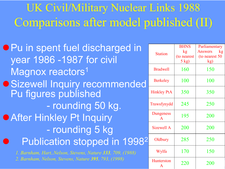# UK Civil/Military Nuclear Links 1988 Comparisons after model published (II)

| <b>• Pu in spent fuel discharged in</b><br>year 1986 -1987 for civil |                                  | <b>BHNS</b><br>kg       | Parliamentary<br><b>Answers</b><br>kg |
|----------------------------------------------------------------------|----------------------------------|-------------------------|---------------------------------------|
|                                                                      |                                  | (to nearest)<br>$5$ kg) | (to nearest 50)<br>$\mathbf{kg}$      |
| Magnox reactors <sup>1</sup>                                         |                                  | 160                     | 150                                   |
| · Sizewell Inquiry recommended                                       | <b>Berkeley</b>                  | 100                     | 100                                   |
| Pu figures published                                                 | <b>Hinkley PtA</b>               | 350                     | 350                                   |
| - rounding 50 kg.                                                    | Trawsfynydd                      | 245                     | 250                                   |
| <b>• After Hinkley Pt Inquiry</b>                                    | <b>Dungeness</b><br>$\mathbf{A}$ | 195                     | 200                                   |
| - rounding 5 kg                                                      | <b>Sizewell A</b>                | 200                     | 200                                   |
| Publication stopped in 1998 <sup>2</sup>                             | Oldbury                          | 285                     | 250                                   |
| 1. Barnham, Hart, Nelson, Stevens, Nature 333, 709, (1988)           | Wylfa                            | 170                     | 150                                   |
| 2. Barnham, Nelson, Stevens, Nature 395, 793, (1998)                 | Hunterston<br>$\bf{A}$           | 220                     | 200                                   |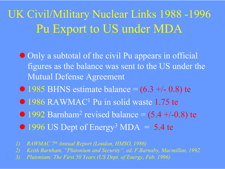## UK Civil/Military Nuclear Links 1988 -1996 Pu Export to US under MDA

- Only a subtotal of the civil Pu appears in official figures as the balance was sent to the US under the Mutual Defense Agreement
- $\bullet$  1985 BHNS estimate balance =  $(6.3 + -0.8)$  te
- 1986 RAWMAC<sup>1</sup> Pu in solid waste 1.75 te
- **1992 Barnham**  $^2$  revised balance =  $(5.4 +\hbox{--} 0.8)$  te
- $\bullet$  1996 US Dept of Energy<sup>3</sup> MDA = 5.4 te
- *1) RAWMAC 7th Annual Report (London, HMSO, 1986)*
- *2) Keith Barnham, "Plutonium and Security", ed. F.Barnaby, Macmillan, 1992*
- *3) Plutonium: The First 50 Years (US Dept. of Energy, Feb. 1996)*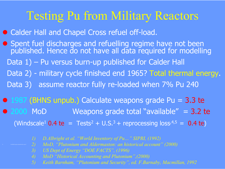## Testing Pu from Military Reactors

- Calder Hall and Chapel Cross refuel off-load.
- z Spent fuel discharges and refuelling regime have not been published. Hence do not have all data required for modelling Data 1) – Pu versus burn-up published for Calder Hall Data 2) - military cycle finished end 1965? Total thermal energy.
	- Data 3) assume reactor fully re-loaded when 7% Pu 240
- $\bullet$  1987 (BHNS unpub.) Calculate weapons grade Pu = 3.3 te **2000 MoD** Weapons grade total "available" =  $3.2$  te

(Windscale<sup>1</sup> 0.4 te = Tests<sup>2</sup> + U.S.<sup>3</sup> + reprocessing loss<sup>,4,5</sup> = 0.4 te)

- *1) D.Albright et al. "World Inventory of Pu…" SIPRI, (1992)*
- *2) MoD, "Plutonium and Aldermaston: an historical account" (2000)*
- *3) US Dept of Energy "DOE FACTS", (1996)*
- *4) MoD "Historical Accounting and Plutonium",(2000)*
- *5) Keith Barnham, "Plutonium and Security", ed. F.Barnaby, Macmillan, 1992*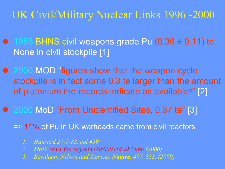## UK Civil/Military Nuclear Links 1996 -2000

- $\bullet$  1985 BHNS civil weapons grade Pu (0.36  $\pm$  0.11) te. None in civil stockpile [1]
- 2000 MOD "figures show that the weapon cycle stockpile is in fact some 0.3 te larger than the amount of plutonium the records indicate as available<sup>5</sup>" [2]
- 2000 MoD "From Unidentified Sites, 0.37 te" [3]

=> 11% of Pu in UK warheads came from civil reactors

- *1. Hansard 27-7-83, col 439*
- *2. MoD www.fas.org/news/uk000414-uk3.htm (2000)*
- *3. Barnham, Nelson and Stevens, Nature, 407, 833, (2000)*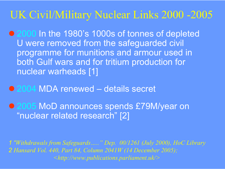## UK Civil/Military Nuclear Links 2000 -2005

● 2000 In the 1980's 1000s of tonnes of depleted U were removed from the safeguarded civil programme for munitions and armour used in both Gulf wars and for tritium production for nuclear warheads [1]

● 2004 MDA renewed – details secret

● 2005 MoD announces spends £79M/year on "nuclear related research" [2]

*1 "Withdrawals from Safeguards….." Dep. 00/1261 (July 2000), HoC Library 2 Hansard Vol. 440, Part 84, Column 2041W (14 December 2005); <http://www.publications.parliament.uk/>*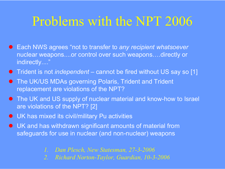# Problems with the NPT 2006

- Each NWS agrees "not to transfer to *any recipient whatsoever* nuclear weapons....or control over such weapons….directly or indirectly...."
- **•** Trident is not *independent* cannot be fired without US say so [1]
- **The UK/US MDAs governing Polaris, Trident and Trident** replacement are violations of the NPT?
- **The UK and US supply of nuclear material and know-how to Israel** are violations of the NPT? [2]
- $\bullet$  UK has mixed its civil/military Pu activities
- $\bullet$  UK and has withdrawn significant amounts of material from safeguards for use in nuclear (and non-nuclear) weapons
	- *1. Dan Plesch, New Statesman, 27-3-2006*
	- *2. Richard Norton-Taylor, Guardian, 10-3-2006*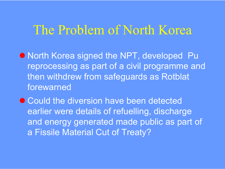## The Problem of North Korea

- **North Korea signed the NPT, developed Pu** reprocessing as part of a civil programme and then withdrew from safeguards as Rotblat forewarned
- $\bullet$  Could the diversion have been detected earlier were details of refuelling, discharge and energy generated made public as part of a Fissile Material Cut of Treaty?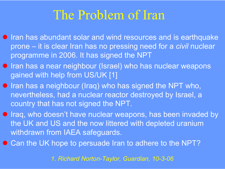# The Problem of Iran

- $\bullet$  Iran has abundant solar and wind resources and is earthquake prone – it is clear Iran has no pressing need for a *civil* nuclear programme in 2006. It has signed the NPT
- **Iran has a near neighbour (Israel) who has nuclear weapons** gained with help from US/UK [1]
- **Iran has a neighbour (Iraq) who has signed the NPT who,** nevertheless, had a nuclear reactor destroyed by Israel, a country that has not signed the NPT.
- **Iraq, who doesn't have nuclear weapons, has been invaded by** the UK and US and the now littered with depleted uranium withdrawn from IAEA safeguards.
- Can the UK hope to persuade Iran to adhere to the NPT?

*1. Richard Norton-Taylor, Guardian, 10-3-06*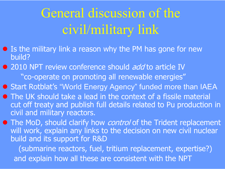# General discussion of the civil/military link

- $\bullet$  Is the military link a reason why the PM has gone for new build?
- 2010 NPT review conference should *add* to article IV "co-operate on promoting all renewable energies"

● Start Rotblat's "World Energy Agency" funded more than IAEA

**• The UK should take a lead in the context of a fissile material** cut off treaty and publish full details related to Pu production in civil and military reactors.

**• The MoD, should clarify how** *control* **of the Trident replacement** will work, explain any links to the decision on new civil nuclear build and its support for R&D

(submarine reactors, fuel, tritium replacement, expertise?) and explain how all these are consistent with the NPT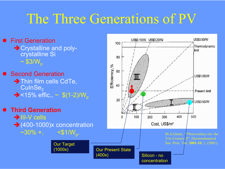# The Three Generations of PV

US\$0.50/W • First Generation US\$0.10/W US\$0.20/W 100 Thermodynamic  $\rightarrow$  Crystalline and polylimit crystalline Si 80  $\sim$  \$3/W $_{\rm p}$ Efficiency,% 60 • Second Generation US\$1,00/W  $\rightarrow$  Thin film cells CdTe, 40  $\mathsf{CulnSe}_2$ Present limit  $\rightarrow$ <15% effic., ~ \$(1-2)/ $W_{\rm p}$ 20 **US\$3,50/W • Third Generation**  $\rightarrow$ III-V cells 100 400 500 O 200 300  $\rightarrow$  (400-1000)x concentration Cost, US\$/m<sup>2</sup> ~30% +, <\$1/W<sub>p</sub>. M.A.Green, "*Photovoltaics for the 21st Century II*", Electrochemical Soc. Proc. Vol. **2001-10**, 1, (2001). Our Target (1000x) Our Present State (400x) Silicon - no concentration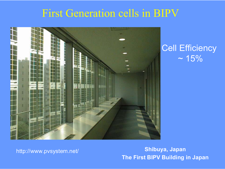## First Generation cells in BIPV



#### Cell Efficiency  $~15%$

http://www.pvsystem.net/ **Shibuya, Japan The First BIPV Building in Japan**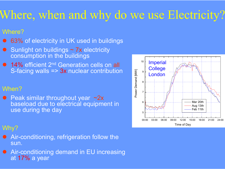## Where, when and why do we use Electricity?

#### Where?

- $\bullet$ ● 63% of electricity in UK used in buildings
- Sunlight on buildings  $\sim$  7x electricity consumption in the buildings
- **14% efficient 2<sup>nd</sup> Generation cells on all** S-facing walls => 3x nuclear contribution

#### When?

● Peak similar throughout year ~2x baseload due to electrical equipment in use during the day

#### Why?

- $\bullet$  Air-conditioning, refrigeration follow the sun.
- **Air-conditioning demand in EU increasing** at **17%** a year

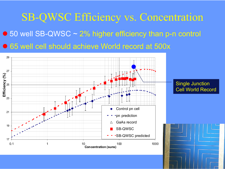## SB-QWSC Efficiency vs. Concentration  $\bullet$  50 well SB-QWSC  $\sim$  2% higher efficiency than p-n control ● 65 well cell should achieve World record at 500x

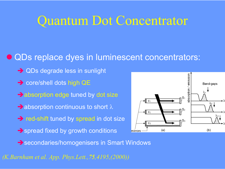## Quantum Dot Concentrator

#### $\bullet$  QDs replace dyes in luminescent concentrators:

- $\rightarrow$  QDs degrade less in sunlight
- $\rightarrow$  core/shell dots high QE
- $\rightarrow$  absorption edge tuned by dot size
- $\rightarrow$  absorption continuous to short  $\lambda$
- $\rightarrow$  red-shift tuned by spread in dot size
- $\rightarrow$  spread fixed by growth conditions



→ secondaries/homogenisers in Smart Windows

*(K.Barnham et al. App. Phys.Lett.,75,4195,(2000))*